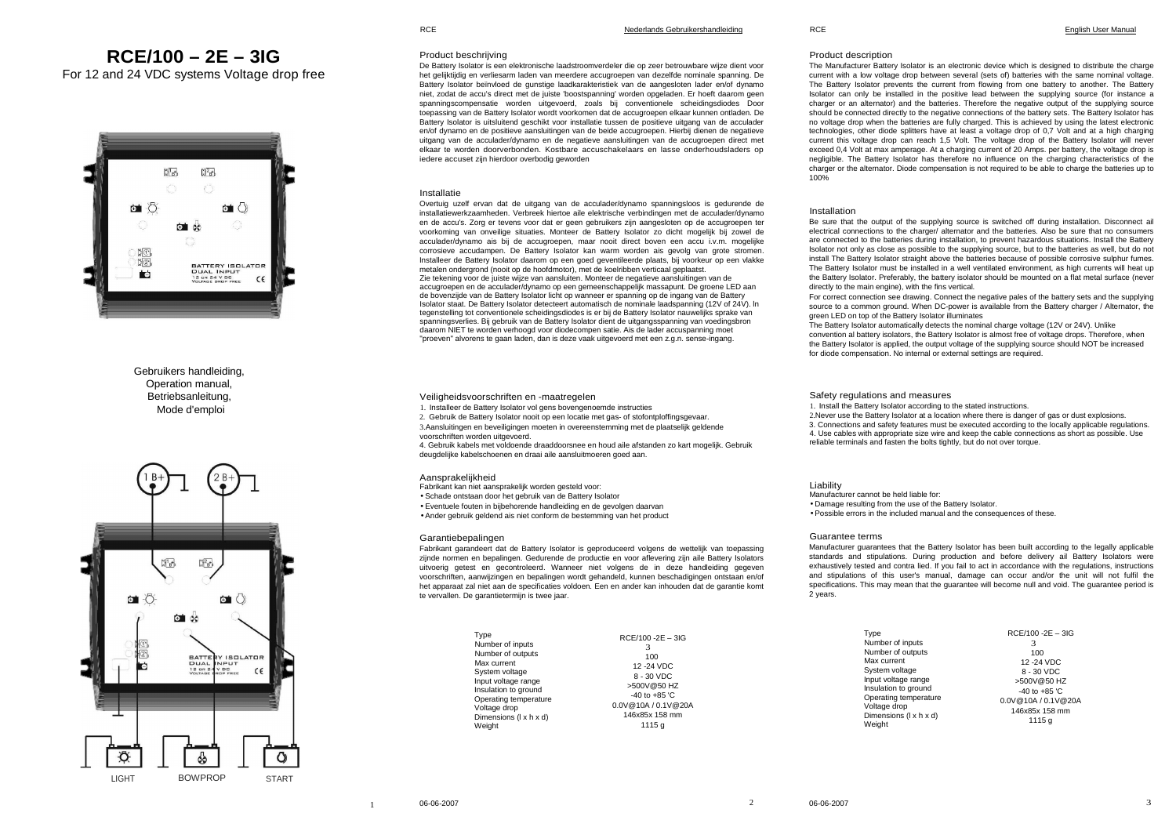# **RCE/100 – 2E – 3IG**

For 12 and 24 VDC systems Voltage drop free



## Gebruikers handleiding, Operation manual, **Betriebsanleitung** Mode d'emploi



**RCE** 

## Product description

 The Manufacturer Battery Isolator is an electronic device which is designed to distribute the charge current with a low voltage drop between several (sets of) batteries with the same nominal voltage. The Battery Isolator prevents the current from flowing from one battery to another. The Battery Isolator can only be installed in the positive lead between the supplying source (for instance a charger or an alternator) and the batteries. Therefore the negative output of the supplying source should be connected directly to the negative connections of the battery sets. The Battery Isolator has no voltage drop when the batteries are fully charged. This is achieved by using the latest electronic technologies, other diode splitters have at least a voltage drop of 0,7 Volt and at a high charging current this voltage drop can reach 1,5 Volt. The voltage drop of the Battery Isolator will never exceed 0,4 Volt at max amperage. At a charging current of 20 Amps. per battery, the voltage drop is negligible. The Battery Isolator has therefore no influence on the charging characteristics of the charger or the alternator. Diode compensation is not required to be able to charge the batteries up to100%

## Installation

 Be sure that the output of the supplying source is switched off during installation. Disconnect ail electrical connections to the charger/ alternator and the batteries. Also be sure that no consumers are connected to the batteries during installation, to prevent hazardous situations. Install the Battery Isolator not only as close as possible to the supplying source, but to the batteries as well, but do not install The Battery Isolator straight above the batteries because of possible corrosive sulphur fumes. The Battery Isolator must be installed in a well ventilated environment, as high currents will heat up the Battery Isolator. Preferably, the battery isolator should be mounted on a flat metal surface (never directly to the main engine), with the fins vertical.

 For correct connection see drawing. Connect the negative pales of the battery sets and the supplying source to a common ground. When DC-power is available from the Battery charger / Alternator, the green LED on top of the Battery Isolator illuminates

 The Battery Isolator automatically detects the nominal charge voltage (12V or 24V). Unlike convention al battery isolators, the Battery Isolator is almost free of voltage drops. Therefore, when the Battery Isolator is applied, the output voltage of the supplying source should NOT be increased for diode compensation. No internal or external settings are required.

Safety regulations and measures

1. Install the Battery Isolator according to the stated instructions.

2.Never use the Battery Isolator at a location where there is danger of gas or dust explosions.

3. Connections and safety features must be executed according to the locally applicable regulations.

4. Use cables with appropriate size wire and keep the cable connections as short as possible. Use

reliable terminals and fasten the bolts tightly, but do not over torque.

Liability

 Manufacturer cannot be held liable for: • Damage resulting from the use of the Battery Isolator. • Possible errors in the included manual and the consequences of these.

## Guarantee terms

 Manufacturer guarantees that the Battery Isolator has been built according to the legally applicable standards and stipulations. During production and before delivery ail Battery Isolators were exhaustively tested and contra lied. If you fail to act in accordance with the regulations, instructions and stipulations of this user's manual, damage can occur and/or the unit will not fulfil the specifications. This may mean that the guarantee will become null and void. The guarantee period is 2 years.

| Type                                   | RCE/100 -2E - 3IG   |
|----------------------------------------|---------------------|
| Number of inputs                       | 3                   |
| Number of outputs                      | 100                 |
| Max current                            | 12 - 24 VDC         |
| System voltage                         | 8 - 30 VDC          |
| Input voltage range                    | >500V@50 HZ         |
| Insulation to ground                   | $-40$ to $+85$ 'C   |
| Operating temperature                  | 0.0V@10A / 0.1V@20A |
| Voltage drop<br>Dimensions (I x h x d) | 146x85x 158 mm      |
| Weight                                 | 1115 g              |

## Product beschrijving

 De Battery Isolator is een elektronische laadstroomverdeler die op zeer betrouwbare wijze dient voor het gelijktijdig en verliesarm laden van meerdere accugroepen van dezelfde nominale spanning. De Battery Isolator beïnvloed de gunstige laadkarakteristiek van de aangesloten lader en/of dynamo niet, zodat de accu's direct met de juiste 'boostspanning' worden opgeladen. Er hoeft daarom geen spanningscompensatie worden uitgevoerd, zoals bij conventionele scheidingsdiodes Door toepassing van de Battery Isolator wordt voorkomen dat de accugroepen elkaar kunnen ontladen. De Battery Isolator is uitsluitend geschikt voor installatie tussen de positieve uitgang van de acculader en/of dynamo en de positieve aansluitingen van de beide accugroepen. Hierbij dienen de negatieve uitgang van de acculader/dynamo en de negatieve aansluitingen van de accugroepen direct met elkaar te worden doorverbonden. Kostbare accuschakelaars en lasse onderhoudsladers op iedere accuset zijn hierdoor overbodig geworden

## Installatie

 Overtuig uzelf ervan dat de uitgang van de acculader/dynamo spanningsloos is gedurende de installatiewerkzaamheden. Verbreek hiertoe aile elektrische verbindingen met de acculader/dynamo en de accu's. Zorg er tevens voor dat er geen gebruikers zijn aangesloten op de accugroepen ter voorkoming van onveilige situaties. Monteer de Battery Isolator zo dicht mogelijk bij zowel de acculader/dynamo ais bij de accugroepen, maar nooit direct boven een accu i.v.m. mogelijke corrosieve accudampen. De Battery Isolator kan warm worden ais gevolg van grote stromen. Installeer de Battery Isolator daarom op een goed geventileerde plaats, bij voorkeur op een vlakke metalen ondergrond (nooit op de hoofdmotor), met de koelribben verticaal geplaatst. Zie tekening voor de juiste wijze van aansluiten. Monteer de negatieve aansluitingen van de accugroepen en de acculader/dynamo op een gemeenschappelijk massapunt. De groene LED aan de bovenzijde van de Battery Isolator licht op wanneer er spanning op de ingang van de Battery Isolator staat. De Battery Isolator detecteert automatisch de nominale laadspanning (12V of 24V). ln tegenstelling tot conventionele scheidingsdiodes is er bij de Battery Isolator nauwelijks sprake van spanningsverlies. Bij gebruik van de Battery Isolator dient de uitgangsspanning van voedingsbron daarom NIET te worden verhoogd voor diodecompen satie. Ais de lader accuspanning moet "proeven" alvorens te gaan laden, dan is deze vaak uitgevoerd met een z.g.n. sense-ingang.

Veiligheidsvoorschriften en -maatregelen

1. Installeer de Battery Isolator vol gens bovengenoemde instructies

2. Gebruik de Battery Isolator nooit op een locatie met gas- of stofontploffingsgevaar.

3.Aansluitingen en beveiligingen moeten in overeenstemming met de plaatselijk geldende

voorschriften worden uitgevoerd. 4. Gebruik kabels met voldoende draaddoorsnee en houd aile afstanden zo kart mogelijk. Gebruik deugdelijke kabelschoenen en draai aile aansluitmoeren goed aan.

## Aansprakelijkheid

Fabrikant kan niet aansprakelijk worden gesteld voor:

- Schade ontstaan door het gebruik van de Battery Isolator
- Eventuele fouten in bijbehorende handleiding en de gevolgen daarvan
- Ander gebruik geldend ais niet conform de bestemming van het product

### Garantiebepalingen

**Type** Num Num  $Max$ Syst Inpu Insulation to ground Ope  $V$ olta Dim Weig

 Fabrikant garandeert dat de Battery Isolator is geproduceerd volgens de wettelijk van toepassing zijnde normen en bepalingen. Gedurende de productie en voor aflevering zijn aile Battery Isolators uitvoerig getest en gecontroleerd. Wanneer niet volgens de in deze handleiding gegeven voorschriften, aanwijzingen en bepalingen wordt gehandeld, kunnen beschadigingen ontstaan en/of het apparaat zal niet aan de specificaties voldoen. Een en ander kan inhouden dat de garantie komt te vervallen. De garantietermijn is twee jaar.

|                                  | $RCE/100 - 2E - 3IG$ |
|----------------------------------|----------------------|
| ber of inputs                    |                      |
| ber of outputs                   | 100                  |
| current                          | 12 - 24 VDC          |
| em voltage                       | 8 - 30 VDC           |
| voltage range<br>ation to ground | >500V@50 HZ          |
| ating temperature                | $-40$ to $+85$ 'C    |
| ge drop                          | 0.0V@10A / 0.1V@20A  |
| nsions (I x h x d)               | 146x85x 158 mm       |
| ıht                              | 1115 g               |
|                                  |                      |

1